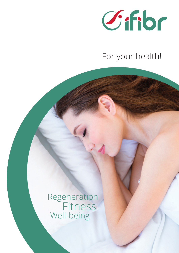

# For your health!

Fitness Regeneration Well-being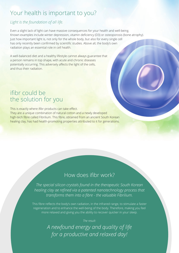## Your health is important to you?

#### *Light is the foundation of all life.*

Even a slight lack of light can have massive consequences for your health and well-being. Known examples include winter depression, vitamin deficiency (D3) or osteoporosis (bone atrophy). Just how important light is, not only for the whole body, but also for every single cell has only recently been confirmed by scientific studies. Above all, the body's own radiation plays an essential role in cell health.

A well-balanced diet and a healthy lifestyle cannot always guarantee that a person remains in top shape, with acute and chronic diseases potentially occurring. This adversely affects the light of the cells, and thus their radiation.

## ifibr could be the solution for you

This is exactly where ifibr products can take effect. They are a unique combination of natural cotton and a newly developed high-tech fibre called Fibrilium. This fibre, obtained from an ancient South Korean healing clay, has had health-promoting properties attributed to it for generations.

### How does ifibr work?

*The special silicon crystals found in the therapeutic South Korean healing clay ae refined via a patented nanotechnology process that transforms them into a fibre - the valuable Fibrilium.* 

This fibre reflects the body's own radiation, in the infrared range, to stimulate a faster regeneration and to enhance the well-being of the body. Therefore, making you feel more relaxed and giving you the ability to recover quicker in your sleep.

*The result:* 

*A newfound energy and quality of life for a productive and relaxed day!*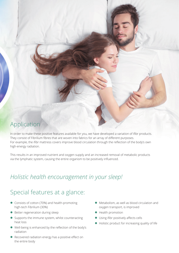## Application

In order to make these positive features available for you, we have developed a variation of ifibr products. They consist of Fibrilium fibres that are woven into fabrics for an array of different purposes. For example, the ifibr mattress covers improve blood circulation through the reflection of the body's own high-energy radiation.

This results in an improved nutrient and oxygen supply and an increased removal of metabolic products via the lymphatic system, causing the entire organism to be positively influenced.

## *Holistic health encouragement in your sleep!*

## Special features at a glance:

- Consists of cotton (70%) and health-promoting high-tech Fibrilium (30%)
- **•** Better regeneration during sleep
- Supports the immune system, whilst counteracting heat loss
- l Well-being is enhanced by the reflection of the body's radiation
- **•** Recovered radiation energy has a positive effect on the entire body
- l Metabolism, as well as blood circulation and oxygen transport, is improved
- **•** Health promotion
- Using ifibr positively affects cells
- l Holistic product for increasing quality of life